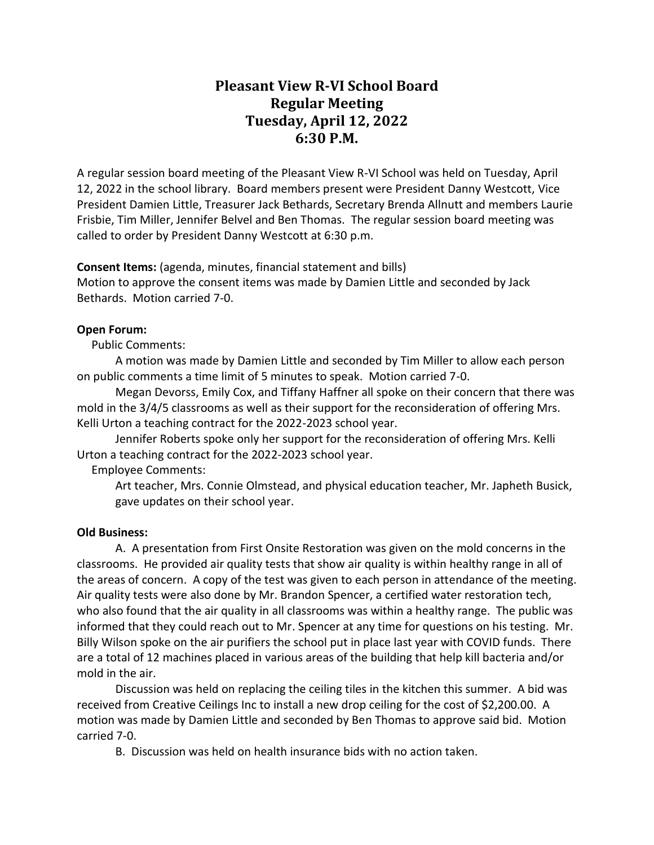# **Pleasant View R-VI School Board Regular Meeting Tuesday, April 12, 2022 6:30 P.M.**

A regular session board meeting of the Pleasant View R-VI School was held on Tuesday, April 12, 2022 in the school library. Board members present were President Danny Westcott, Vice President Damien Little, Treasurer Jack Bethards, Secretary Brenda Allnutt and members Laurie Frisbie, Tim Miller, Jennifer Belvel and Ben Thomas. The regular session board meeting was called to order by President Danny Westcott at 6:30 p.m.

**Consent Items:** (agenda, minutes, financial statement and bills)

Motion to approve the consent items was made by Damien Little and seconded by Jack Bethards. Motion carried 7-0.

# **Open Forum:**

Public Comments:

A motion was made by Damien Little and seconded by Tim Miller to allow each person on public comments a time limit of 5 minutes to speak. Motion carried 7-0.

Megan Devorss, Emily Cox, and Tiffany Haffner all spoke on their concern that there was mold in the 3/4/5 classrooms as well as their support for the reconsideration of offering Mrs. Kelli Urton a teaching contract for the 2022-2023 school year.

Jennifer Roberts spoke only her support for the reconsideration of offering Mrs. Kelli Urton a teaching contract for the 2022-2023 school year.

Employee Comments:

Art teacher, Mrs. Connie Olmstead, and physical education teacher, Mr. Japheth Busick, gave updates on their school year.

### **Old Business:**

A. A presentation from First Onsite Restoration was given on the mold concerns in the classrooms. He provided air quality tests that show air quality is within healthy range in all of the areas of concern. A copy of the test was given to each person in attendance of the meeting. Air quality tests were also done by Mr. Brandon Spencer, a certified water restoration tech, who also found that the air quality in all classrooms was within a healthy range. The public was informed that they could reach out to Mr. Spencer at any time for questions on his testing. Mr. Billy Wilson spoke on the air purifiers the school put in place last year with COVID funds. There are a total of 12 machines placed in various areas of the building that help kill bacteria and/or mold in the air.

Discussion was held on replacing the ceiling tiles in the kitchen this summer. A bid was received from Creative Ceilings Inc to install a new drop ceiling for the cost of \$2,200.00. A motion was made by Damien Little and seconded by Ben Thomas to approve said bid. Motion carried 7-0.

B. Discussion was held on health insurance bids with no action taken.